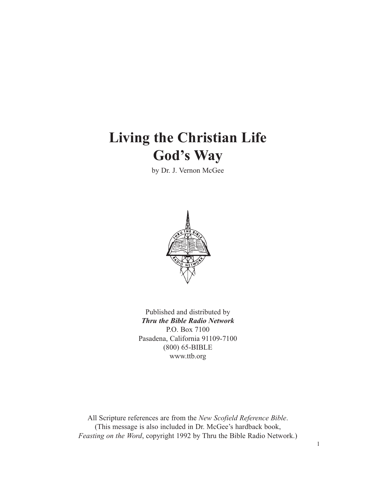# **Living the Christian Life God's Way**

by Dr. J. Vernon McGee



Published and distributed by *Thru the Bible Radio Network* P.O. Box 7100 Pasadena, California 91109-7100 (800) 65-BIBLE www.ttb.org

All Scripture references are from the *New Scofield Reference Bible*. (This message is also included in Dr. McGee's hardback book, *Feasting on the Word*, copyright 1992 by Thru the Bible Radio Network.)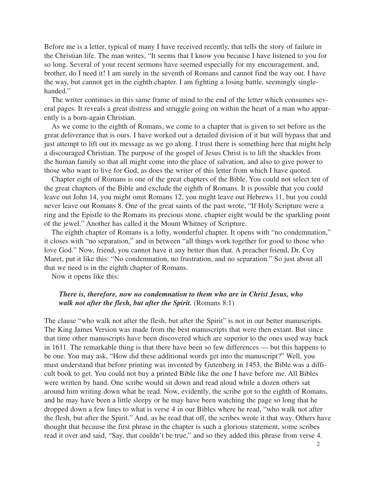Before me is a letter, typical of many I have received recently, that tells the story of failure in the Christian life. The man writes, "It seems that I know you because I have listened to you for so long. Several of your recent sermons have seemed especially for my encouragement, and, brother, do I need it! I am surely in the seventh of Romans and cannot find the way out. I have the way, but cannot get in the eighth chapter. I am fighting a losing battle, seemingly singlehanded."

The writer continues in this same frame of mind to the end of the letter which consumes several pages. It reveals a great distress and struggle going on within the heart of a man who apparently is a born-again Christian.

As we come to the eighth of Romans, we come to a chapter that is given to set before us the great deliverance that is ours. I have worked out a detailed division of it but will bypass that and just attempt to lift out its message as we go along. I trust there is something here that might help a discouraged Christian. The purpose of the gospel of Jesus Christ is to lift the shackles from the human family so that all might come into the place of salvation, and also to give power to those who want to live for God, as does the writer of this letter from which I have quoted.

Chapter eight of Romans is one of the great chapters of the Bible. You could not select ten of the great chapters of the Bible and exclude the eighth of Romans. It is possible that you could leave out John 14, you might omit Romans 12, you might leave out Hebrews 11, but you could never leave out Romans 8. One of the great saints of the past wrote, "If Holy Scripture were a ring and the Epistle to the Romans its precious stone, chapter eight would be the sparkling point of the jewel." Another has called it the Mount Whitney of Scripture.

The eighth chapter of Romans is a lofty, wonderful chapter. It opens with "no condemnation," it closes with "no separation," and in between "all things work together for good to those who love God." Now, friend, you cannot have it any better than that. A preacher friend, Dr. Coy Maret, put it like this: "No condemnation, no frustration, and no separation." So just about all that we need is in the eighth chapter of Romans.

Now it opens like this:

## *There is, therefore, now no condemnation to them who are in Christ Jesus, who walk not after the flesh, but after the Spirit.* (Romans 8:1)

The clause "who walk not after the flesh, but after the Spirit" is not in our better manuscripts. The King James Version was made from the best manuscripts that were then extant. But since that time other manuscripts have been discovered which are superior to the ones used way back in 1611. The remarkable thing is that there have been so few differences — but this happens to be one. You may ask, "How did these additional words get into the manuscript?" Well, you must understand that before printing was invented by Gutenberg in 1453, the Bible was a difficult book to get. You could not buy a printed Bible like the one I have before me. All Bibles were written by hand. One scribe would sit down and read aloud while a dozen others sat around him writing down what he read. Now, evidently, the scribe got to the eighth of Romans, and he may have been a little sleepy or he may have been watching the page so long that he dropped down a few lines to what is verse 4 in our Bibles where he read, "who walk not after the flesh, but after the Spirit." And, as he read that off, the scribes wrote it that way. Others have thought that because the first phrase in the chapter is such a glorious statement, some scribes read it over and said, "Say, that couldn't be true," and so they added this phrase from verse 4.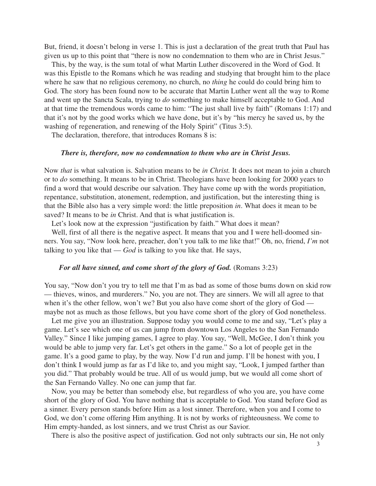But, friend, it doesn't belong in verse 1. This is just a declaration of the great truth that Paul has given us up to this point that "there is now no condemnation to them who are in Christ Jesus."

This, by the way, is the sum total of what Martin Luther discovered in the Word of God. It was this Epistle to the Romans which he was reading and studying that brought him to the place where he saw that no religious ceremony, no church, no *thing* he could do could bring him to God. The story has been found now to be accurate that Martin Luther went all the way to Rome and went up the Sancta Scala, trying to *do* something to make himself acceptable to God. And at that time the tremendous words came to him: "The just shall live by faith" (Romans 1:17) and that it's not by the good works which we have done, but it's by "his mercy he saved us, by the washing of regeneration, and renewing of the Holy Spirit" (Titus 3:5).

The declaration, therefore, that introduces Romans 8 is:

#### *There is, therefore, now no condemnation to them who are in Christ Jesus.*

Now *that* is what salvation is. Salvation means to be *in Christ.* It does not mean to join a church or to *do* something. It means to be in Christ. Theologians have been looking for 2000 years to find a word that would describe our salvation. They have come up with the words propitiation, repentance, substitution, atonement, redemption, and justification, but the interesting thing is that the Bible also has a very simple word: the little preposition *in*. What does it mean to be saved? It means to be *in* Christ. And that is what justification is.

Let's look now at the expression "justification by faith." What does it mean?

Well, first of all there is the negative aspect. It means that you and I were hell-doomed sinners. You say, "Now look here, preacher, don't you talk to me like that!" Oh, no, friend, *I'm* not talking to you like that — *God* is talking to you like that. He says,

#### *For all have sinned, and come short of the glory of God.* (Romans 3:23)

You say, "Now don't you try to tell me that I'm as bad as some of those bums down on skid row — thieves, winos, and murderers." No, you are not. They are sinners. We will all agree to that when it's the other fellow, won't we? But you also have come short of the glory of God maybe not as much as those fellows, but you have come short of the glory of God nonetheless.

Let me give you an illustration. Suppose today you would come to me and say, "Let's play a game. Let's see which one of us can jump from downtown Los Angeles to the San Fernando Valley." Since I like jumping games, I agree to play. You say, "Well, McGee, I don't think you would be able to jump very far. Let's get others in the game." So a lot of people get in the game. It's a good game to play, by the way. Now I'd run and jump. I'll be honest with you, I don't think I would jump as far as I'd like to, and you might say, "Look, I jumped farther than you did." That probably would be true. All of us would jump, but we would all come short of the San Fernando Valley. No one can jump that far.

Now, you may be better than somebody else, but regardless of who you are, you have come short of the glory of God. You have nothing that is acceptable to God. You stand before God as a sinner. Every person stands before Him as a lost sinner. Therefore, when you and I come to God, we don't come offering Him anything. It is not by works of righteousness. We come to Him empty-handed, as lost sinners, and we trust Christ as our Savior.

There is also the positive aspect of justification. God not only subtracts our sin, He not only

3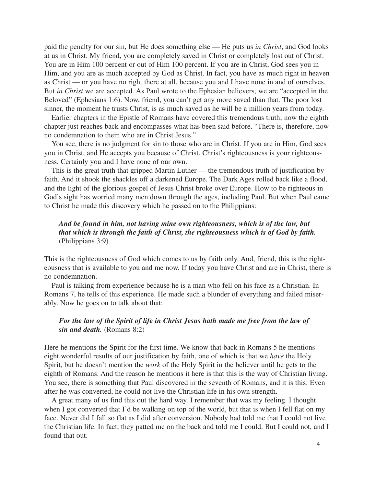paid the penalty for our sin, but He does something else — He puts us *in Christ*, and God looks at us in Christ. My friend, you are completely saved in Christ or completely lost out of Christ. You are in Him 100 percent or out of Him 100 percent. If you are in Christ, God sees you in Him, and you are as much accepted by God as Christ. In fact, you have as much right in heaven as Christ — or you have no right there at all, because you and I have none in and of ourselves. But *in Christ* we are accepted. As Paul wrote to the Ephesian believers, we are "accepted in the Beloved" (Ephesians 1:6). Now, friend, you can't get any more saved than that. The poor lost sinner, the moment he trusts Christ, is as much saved as he will be a million years from today.

Earlier chapters in the Epistle of Romans have covered this tremendous truth; now the eighth chapter just reaches back and encompasses what has been said before. "There is, therefore, now no condemnation to them who are in Christ Jesus."

You see, there is no judgment for sin to those who are in Christ. If you are in Him, God sees you in Christ, and He accepts you because of Christ. Christ's righteousness is your righteousness. Certainly you and I have none of our own.

This is the great truth that gripped Martin Luther — the tremendous truth of justification by faith. And it shook the shackles off a darkened Europe. The Dark Ages rolled back like a flood, and the light of the glorious gospel of Jesus Christ broke over Europe. How to be righteous in God's sight has worried many men down through the ages, including Paul. But when Paul came to Christ he made this discovery which he passed on to the Philippians:

# *And be found in him, not having mine own righteousness, which is of the law, but that which is through the faith of Christ, the righteousness which is of God by faith.* (Philippians 3:9)

This is the righteousness of God which comes to us by faith only. And, friend, this is the righteousness that is available to you and me now. If today you have Christ and are in Christ, there is no condemnation.

Paul is talking from experience because he is a man who fell on his face as a Christian. In Romans 7, he tells of this experience. He made such a blunder of everything and failed miserably. Now he goes on to talk about that:

# *For the law of the Spirit of life in Christ Jesus hath made me free from the law of sin and death.* (Romans 8:2)

Here he mentions the Spirit for the first time. We know that back in Romans 5 he mentions eight wonderful results of our justification by faith, one of which is that we *have* the Holy Spirit, but he doesn't mention the *work* of the Holy Spirit in the believer until he gets to the eighth of Romans. And the reason he mentions it here is that this is the way of Christian living. You see, there is something that Paul discovered in the seventh of Romans, and it is this: Even after he was converted, he could not live the Christian life in his own strength.

A great many of us find this out the hard way. I remember that was my feeling. I thought when I got converted that I'd be walking on top of the world, but that is when I fell flat on my face. Never did I fall so flat as I did after conversion. Nobody had told me that I could not live the Christian life. In fact, they patted me on the back and told me I could. But I could not, and I found that out.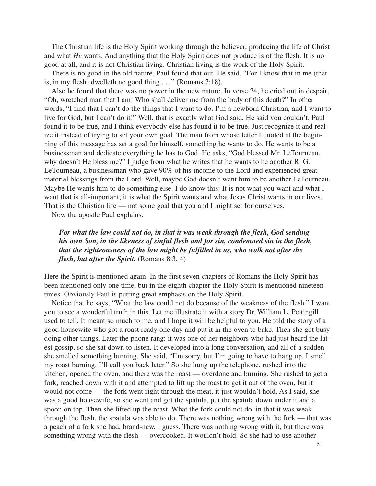The Christian life is the Holy Spirit working through the believer, producing the life of Christ and what *He* wants. And anything that the Holy Spirit does not produce is of the flesh. It is no good at all, and it is not Christian living. Christian living is the work of the Holy Spirit.

There is no good in the old nature. Paul found that out. He said, "For I know that in me (that is, in my flesh) dwelleth no good thing . . ." (Romans 7:18).

Also he found that there was no power in the new nature. In verse 24, he cried out in despair, "Oh, wretched man that I am! Who shall deliver me from the body of this death?" In other words, "I find that I can't do the things that I want to do. I'm a newborn Christian, and I want to live for God, but I can't do it!" Well, that is exactly what God said. He said you couldn't. Paul found it to be true, and I think everybody else has found it to be true. Just recognize it and realize it instead of trying to set your own goal. The man from whose letter I quoted at the beginning of this message has set a goal for himself, something he wants to do. He wants to be a businessman and dedicate everything he has to God. He asks, "God blessed Mr. LeTourneau, why doesn't He bless me?" I judge from what he writes that he wants to be another R. G. LeTourneau, a businessman who gave 90% of his income to the Lord and experienced great material blessings from the Lord. Well, maybe God doesn't want him to be another LeTourneau. Maybe He wants him to do something else. I do know this: It is not what you want and what I want that is all-important; it is what the Spirit wants and what Jesus Christ wants in our lives. That is the Christian life — not some goal that you and I might set for ourselves.

Now the apostle Paul explains:

*For what the law could not do, in that it was weak through the flesh, God sending his own Son, in the likeness of sinful flesh and for sin, condemned sin in the flesh, that the righteousness of the law might be fulfilled in us, who walk not after the flesh, but after the Spirit.* (Romans 8:3, 4)

Here the Spirit is mentioned again. In the first seven chapters of Romans the Holy Spirit has been mentioned only one time, but in the eighth chapter the Holy Spirit is mentioned nineteen times. Obviously Paul is putting great emphasis on the Holy Spirit.

Notice that he says, "What the law could not do because of the weakness of the flesh." I want you to see a wonderful truth in this. Let me illustrate it with a story Dr. William L. Pettingill used to tell. It meant so much to me, and I hope it will be helpful to you. He told the story of a good housewife who got a roast ready one day and put it in the oven to bake. Then she got busy doing other things. Later the phone rang; it was one of her neighbors who had just heard the latest gossip, so she sat down to listen. It developed into a long conversation, and all of a sudden she smelled something burning. She said, "I'm sorry, but I'm going to have to hang up. I smell my roast burning. I'll call you back later." So she hung up the telephone, rushed into the kitchen, opened the oven, and there was the roast — overdone and burning. She rushed to get a fork, reached down with it and attempted to lift up the roast to get it out of the oven, but it would not come — the fork went right through the meat, it just wouldn't hold. As I said, she was a good housewife, so she went and got the spatula, put the spatula down under it and a spoon on top. Then she lifted up the roast. What the fork could not do, in that it was weak through the flesh, the spatula was able to do. There was nothing wrong with the fork — that was a peach of a fork she had, brand-new, I guess. There was nothing wrong with it, but there was something wrong with the flesh — overcooked. It wouldn't hold. So she had to use another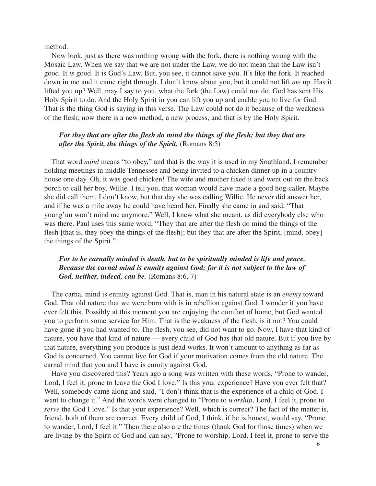method.

Now look, just as there was nothing wrong with the fork, there is nothing wrong with the Mosaic Law. When we say that we are not under the Law, we do not mean that the Law isn't good. It *is* good. It is God's Law. But, you see, it cannot save you. It's like the fork. It reached down in me and it came right through. I don't know about you, but it could not lift *me* up. Has it lifted you up? Well, may I say to you, what the fork (the Law) could not do, God has sent His Holy Spirit to do. And the Holy Spirit in you can lift you up and enable you to live for God. That is the thing God is saying in this verse. The Law could not do it because of the weakness of the flesh; now there is a new method, a new process, and that is by the Holy Spirit.

# *For they that are after the flesh do mind the things of the flesh; but they that are after the Spirit, the things of the Spirit.* (Romans 8:5)

That word *mind* means "to obey," and that is the way it is used in my Southland. I remember holding meetings in middle Tennessee and being invited to a chicken dinner up in a country house one day. Oh, it was good chicken! The wife and mother fixed it and went out on the back porch to call her boy, Willie. I tell you, that woman would have made a good hog-caller. Maybe she did call them, I don't know, but that day she was calling Willie. He never did answer her, and if he was a mile away he could have heard her. Finally she came in and said, "That young'un won't mind me anymore." Well, I knew what she meant, as did everybody else who was there. Paul uses this same word, "They that are after the flesh do mind the things of the flesh [that is, they obey the things of the flesh]; but they that are after the Spirit, [mind, obey] the things of the Spirit."

# *For to be carnally minded is death, but to be spiritually minded is life and peace. Because the carnal mind is enmity against God; for it is not subject to the law of God, neither, indeed, can be.* (Romans 8:6, 7)

The carnal mind is enmity against God. That is, man in his natural state is an *enemy* toward God. That old nature that we were born with is in rebellion against God. I wonder if you have ever felt this. Possibly at this moment you are enjoying the comfort of home, but God wanted you to perform some service for Him. That is the weakness of the flesh, is it not? You could have gone if you had wanted to. The flesh, you see, did not want to go. Now, I have that kind of nature, you have that kind of nature — every child of God has that old nature. But if you live by that nature, everything you produce is just dead works. It won't amount to anything as far as God is concerned. You cannot live for God if your motivation comes from the old nature. The carnal mind that you and I have is enmity against God.

Have you discovered this? Years ago a song was written with these words, "Prone to wander, Lord, I feel it, prone to leave the God I love." Is this your experience? Have you ever felt that? Well, somebody came along and said, "I don't think that is the experience of a child of God. I want to change it." And the words were changed to "Prone to *worship*, Lord, I feel it, prone to *serve* the God I love." Is that your experience? Well, which is correct? The fact of the matter is, friend, both of them are correct. Every child of God, I think, if he is honest, would say, "Prone to wander, Lord, I feel it." Then there also are the times (thank God for those times) when we are living by the Spirit of God and can say, "Prone to worship, Lord, I feel it, prone to serve the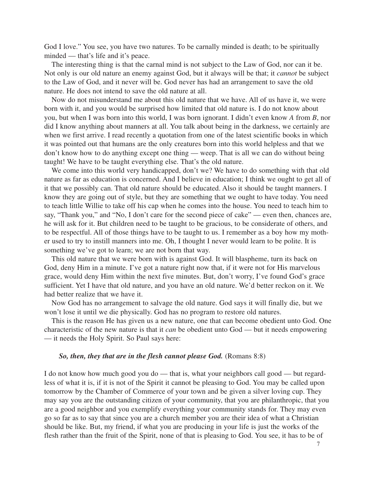God I love." You see, you have two natures. To be carnally minded is death; to be spiritually minded — that's life and it's peace.

The interesting thing is that the carnal mind is not subject to the Law of God, nor can it be. Not only is our old nature an enemy against God, but it always will be that; it *cannot* be subject to the Law of God, and it never will be. God never has had an arrangement to save the old nature. He does not intend to save the old nature at all.

Now do not misunderstand me about this old nature that we have. All of us have it, we were born with it, and you would be surprised how limited that old nature is. I do not know about you, but when I was born into this world, I was born ignorant. I didn't even know *A* from *B*, nor did I know anything about manners at all. You talk about being in the darkness, we certainly are when we first arrive. I read recently a quotation from one of the latest scientific books in which it was pointed out that humans are the only creatures born into this world helpless and that we don't know how to do anything except one thing — weep. That is all we can do without being taught! We have to be taught everything else. That's the old nature.

We come into this world very handicapped, don't we? We have to do something with that old nature as far as education is concerned. And I believe in education; I think we ought to get all of it that we possibly can. That old nature should be educated. Also it should be taught manners. I know they are going out of style, but they are something that we ought to have today. You need to teach little Willie to take off his cap when he comes into the house. You need to teach him to say, "Thank you," and "No, I don't care for the second piece of cake" — even then, chances are, he will ask for it. But children need to be taught to be gracious, to be considerate of others, and to be respectful. All of those things have to be taught to us. I remember as a boy how my mother used to try to instill manners into me. Oh, I thought I never would learn to be polite. It is something we've got to learn; we are not born that way.

This old nature that we were born with is against God. It will blaspheme, turn its back on God, deny Him in a minute. I've got a nature right now that, if it were not for His marvelous grace, would deny Him within the next five minutes. But, don't worry, I've found God's grace sufficient. Yet I have that old nature, and you have an old nature. We'd better reckon on it. We had better realize that we have it.

Now God has no arrangement to salvage the old nature. God says it will finally die, but we won't lose it until we die physically. God has no program to restore old natures.

This is the reason He has given us a new nature, one that can become obedient unto God. One characteristic of the new nature is that it *can* be obedient unto God — but it needs empowering — it needs the Holy Spirit. So Paul says here:

#### *So, then, they that are in the flesh cannot please God.* (Romans 8:8)

I do not know how much good you do — that is, what your neighbors call good — but regardless of what it is, if it is not of the Spirit it cannot be pleasing to God. You may be called upon tomorrow by the Chamber of Commerce of your town and be given a silver loving cup. They may say you are the outstanding citizen of your community, that you are philanthropic, that you are a good neighbor and you exemplify everything your community stands for. They may even go so far as to say that since you are a church member you are their idea of what a Christian should be like. But, my friend, if what you are producing in your life is just the works of the flesh rather than the fruit of the Spirit, none of that is pleasing to God. You see, it has to be of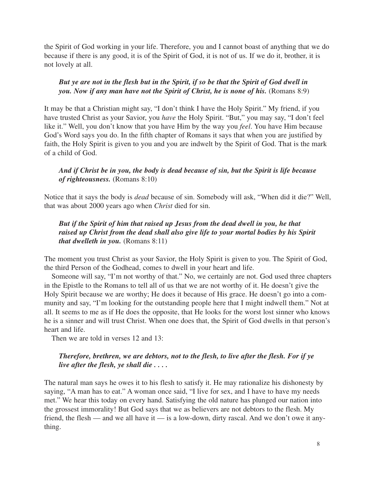the Spirit of God working in your life. Therefore, you and I cannot boast of anything that we do because if there is any good, it is of the Spirit of God, it is not of us. If we do it, brother, it is not lovely at all.

# *But ye are not in the flesh but in the Spirit, if so be that the Spirit of God dwell in you. Now if any man have not the Spirit of Christ, he is none of his.* (Romans 8:9)

It may be that a Christian might say, "I don't think I have the Holy Spirit." My friend, if you have trusted Christ as your Savior, you *have* the Holy Spirit. "But," you may say, "I don't feel like it." Well, you don't know that you have Him by the way you *feel*. You have Him because God's Word says you do. In the fifth chapter of Romans it says that when you are justified by faith, the Holy Spirit is given to you and you are indwelt by the Spirit of God. That is the mark of a child of God.

# *And if Christ be in you, the body is dead because of sin, but the Spirit is life because of righteousness.* (Romans 8:10)

Notice that it says the body is *dead* because of sin. Somebody will ask, "When did it die?" Well, that was about 2000 years ago when *Christ* died for sin.

# *But if the Spirit of him that raised up Jesus from the dead dwell in you, he that raised up Christ from the dead shall also give life to your mortal bodies by his Spirit that dwelleth in you.* (Romans 8:11)

The moment you trust Christ as your Savior, the Holy Spirit is given to you. The Spirit of God, the third Person of the Godhead, comes to dwell in your heart and life.

Someone will say, "I'm not worthy of that." No, we certainly are not. God used three chapters in the Epistle to the Romans to tell all of us that we are not worthy of it. He doesn't give the Holy Spirit because we are worthy; He does it because of His grace. He doesn't go into a community and say, "I'm looking for the outstanding people here that I might indwell them." Not at all. It seems to me as if He does the opposite, that He looks for the worst lost sinner who knows he is a sinner and will trust Christ. When one does that, the Spirit of God dwells in that person's heart and life.

Then we are told in verses 12 and 13:

# *Therefore, brethren, we are debtors, not to the flesh, to live after the flesh. For if ye live after the flesh, ye shall die . . . .*

The natural man says he owes it to his flesh to satisfy it. He may rationalize his dishonesty by saying, "A man has to eat." A woman once said, "I live for sex, and I have to have my needs met." We hear this today on every hand. Satisfying the old nature has plunged our nation into the grossest immorality! But God says that we as believers are not debtors to the flesh. My friend, the flesh — and we all have it — is a low-down, dirty rascal. And we don't owe it anything.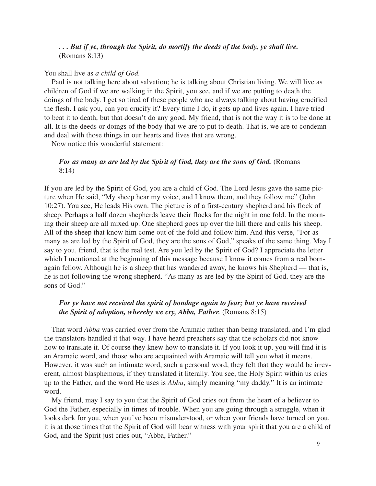## *. . . But if ye, through the Spirit, do mortify the deeds of the body, ye shall live.* (Romans 8:13)

#### You shall live as *a child of God.*

Paul is not talking here about salvation; he is talking about Christian living. We will live as children of God if we are walking in the Spirit, you see, and if we are putting to death the doings of the body. I get so tired of these people who are always talking about having crucified the flesh. I ask you, can you crucify it? Every time I do, it gets up and lives again. I have tried to beat it to death, but that doesn't do any good. My friend, that is not the way it is to be done at all. It is the deeds or doings of the body that we are to put to death. That is, we are to condemn and deal with those things in our hearts and lives that are wrong.

Now notice this wonderful statement:

# *For as many as are led by the Spirit of God, they are the sons of God.* (Romans 8:14)

If you are led by the Spirit of God, you are a child of God. The Lord Jesus gave the same picture when He said, "My sheep hear my voice, and I know them, and they follow me" (John 10:27). You see, He leads His own. The picture is of a first-century shepherd and his flock of sheep. Perhaps a half dozen shepherds leave their flocks for the night in one fold. In the morning their sheep are all mixed up. One shepherd goes up over the hill there and calls his sheep. All of the sheep that know him come out of the fold and follow him. And this verse, "For as many as are led by the Spirit of God, they are the sons of God," speaks of the same thing. May I say to you, friend, that is the real test. Are you led by the Spirit of God? I appreciate the letter which I mentioned at the beginning of this message because I know it comes from a real bornagain fellow. Although he is a sheep that has wandered away, he knows his Shepherd — that is, he is not following the wrong shepherd. "As many as are led by the Spirit of God, they are the sons of God."

## *For ye have not received the spirit of bondage again to fear; but ye have received the Spirit of adoption, whereby we cry, Abba, Father.* (Romans 8:15)

That word *Abba* was carried over from the Aramaic rather than being translated, and I'm glad the translators handled it that way. I have heard preachers say that the scholars did not know how to translate it. Of course they knew how to translate it. If you look it up, you will find it is an Aramaic word, and those who are acquainted with Aramaic will tell you what it means. However, it was such an intimate word, such a personal word, they felt that they would be irreverent, almost blasphemous, if they translated it literally. You see, the Holy Spirit within us cries up to the Father, and the word He uses is *Abba*, simply meaning "my daddy." It is an intimate word.

My friend, may I say to you that the Spirit of God cries out from the heart of a believer to God the Father, especially in times of trouble. When you are going through a struggle, when it looks dark for you, when you've been misunderstood, or when your friends have turned on you, it is at those times that the Spirit of God will bear witness with your spirit that you are a child of God, and the Spirit just cries out, "Abba, Father."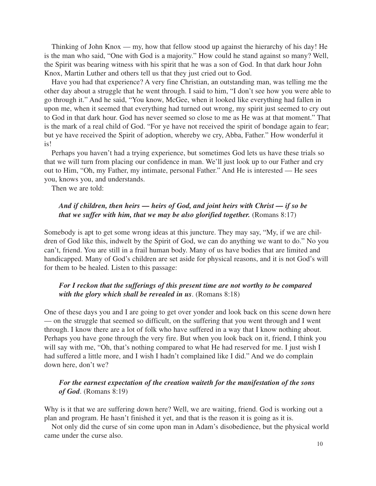Thinking of John Knox — my, how that fellow stood up against the hierarchy of his day! He is the man who said, "One with God is a majority." How could he stand against so many? Well, the Spirit was bearing witness with his spirit that he was a son of God. In that dark hour John Knox, Martin Luther and others tell us that they just cried out to God.

Have you had that experience? A very fine Christian, an outstanding man, was telling me the other day about a struggle that he went through. I said to him, "I don't see how you were able to go through it." And he said, "You know, McGee, when it looked like everything had fallen in upon me, when it seemed that everything had turned out wrong, my spirit just seemed to cry out to God in that dark hour. God has never seemed so close to me as He was at that moment." That is the mark of a real child of God. "For ye have not received the spirit of bondage again to fear; but ye have received the Spirit of adoption, whereby we cry, Abba, Father." How wonderful it is!

Perhaps you haven't had a trying experience, but sometimes God lets us have these trials so that we will turn from placing our confidence in man. We'll just look up to our Father and cry out to Him, "Oh, my Father, my intimate, personal Father." And He is interested — He sees you, knows you, and understands.

Then we are told:

# *And if children, then heirs — heirs of God, and joint heirs with Christ — if so be that we suffer with him, that we may be also glorified together.* (Romans 8:17)

Somebody is apt to get some wrong ideas at this juncture. They may say, "My, if we are children of God like this, indwelt by the Spirit of God, we can do anything we want to do." No you can't, friend. You are still in a frail human body. Many of us have bodies that are limited and handicapped. Many of God's children are set aside for physical reasons, and it is not God's will for them to be healed. Listen to this passage:

# *For I reckon that the sufferings of this present time are not worthy to be compared with the glory which shall be revealed in us*. (Romans 8:18)

One of these days you and I are going to get over yonder and look back on this scene down here — on the struggle that seemed so difficult, on the suffering that you went through and I went through. I know there are a lot of folk who have suffered in a way that I know nothing about. Perhaps you have gone through the very fire. But when you look back on it, friend, I think you will say with me, "Oh, that's nothing compared to what He had reserved for me. I just wish I had suffered a little more, and I wish I hadn't complained like I did." And we do complain down here, don't we?

# *For the earnest expectation of the creation waiteth for the manifestation of the sons of God*. (Romans 8:19)

Why is it that we are suffering down here? Well, we are waiting, friend. God is working out a plan and program. He hasn't finished it yet, and that is the reason it is going as it is.

Not only did the curse of sin come upon man in Adam's disobedience, but the physical world came under the curse also.